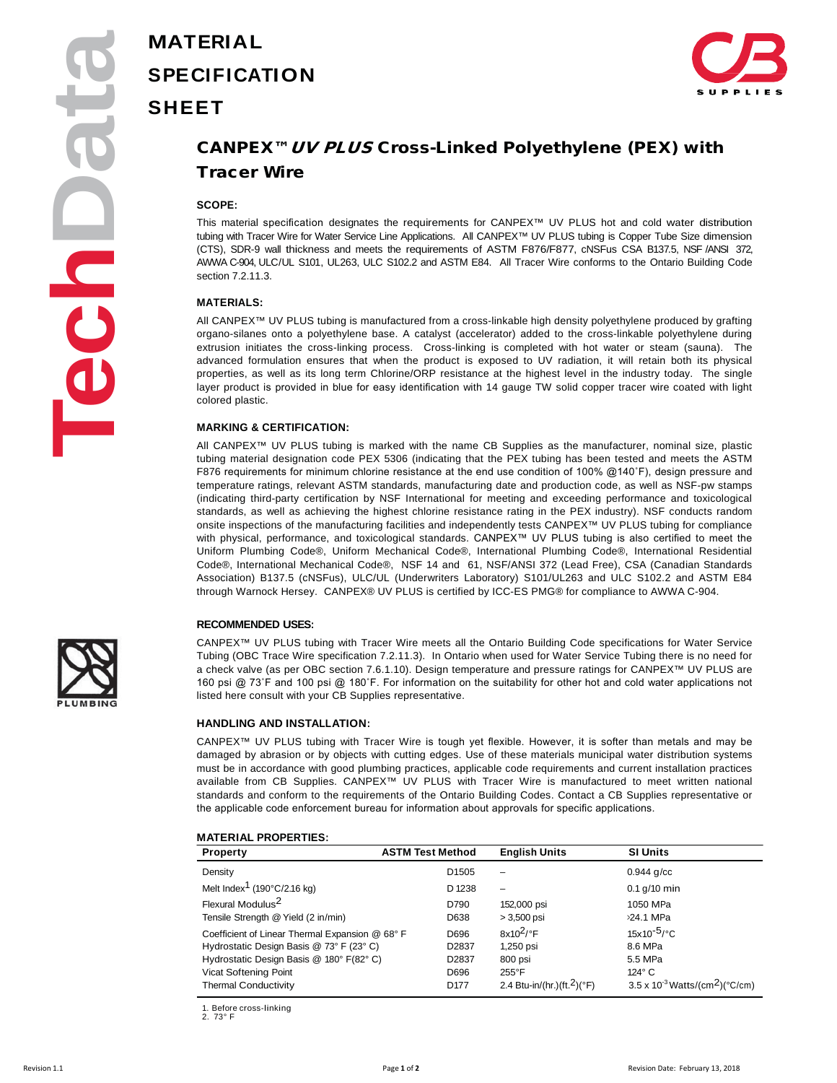# **MATERIAL SPECIFICATION SHEET**



## CANPEX™UV PLUS Cross-Linked Polyethylene (PEX) with Tracer Wire

### **SCOPE:**

This material specification designates the requirements for CANPEX™ UV PLUS hot and cold water distribution tubing with Tracer Wire for Water Service Line Applications. All CANPEX™ UV PLUS tubing is Copper Tube Size dimension (CTS), SDR-9 wall thickness and meets the requirements of ASTM F876/F877, cNSFus CSA B137.5, NSF /ANSI 372, AWWA C-904, ULC/UL S101, UL263, ULC S102.2 and ASTM E84. All Tracer Wire conforms to the Ontario Building Code section 7.2.11.3.

### **MATERIALS:**

All CANPEX™ UV PLUS tubing is manufactured from a cross-linkable high density polyethylene produced by grafting organo-silanes onto a polyethylene base. A catalyst (accelerator) added to the cross-linkable polyethylene during extrusion initiates the cross-linking process. Cross-linking is completed with hot water or steam (sauna). The advanced formulation ensures that when the product is exposed to UV radiation, it will retain both its physical properties, as well as its long term Chlorine/ORP resistance at the highest level in the industry today. The single layer product is provided in blue for easy identification with 14 gauge TW solid copper tracer wire coated with light colored plastic.

### **MARKING & CERTIFICATION:**

All CANPEX™ UV PLUS tubing is marked with the name CB Supplies as the manufacturer, nominal size, plastic tubing material designation code PEX 5306 (indicating that the PEX tubing has been tested and meets the ASTM F876 requirements for minimum chlorine resistance at the end use condition of 100% @140˚F), design pressure and temperature ratings, relevant ASTM standards, manufacturing date and production code, as well as NSF-pw stamps (indicating third-party certification by NSF International for meeting and exceeding performance and toxicological standards, as well as achieving the highest chlorine resistance rating in the PEX industry). NSF conducts random onsite inspections of the manufacturing facilities and independently tests CANPEX™ UV PLUS tubing for compliance with physical, performance, and toxicological standards. CANPEX™ UV PLUS tubing is also certified to meet the Uniform Plumbing Code®, Uniform Mechanical Code®, International Plumbing Code®, International Residential Code®, International Mechanical Code®, NSF 14 and 61, NSF/ANSI 372 (Lead Free), CSA (Canadian Standards Association) B137.5 (cNSFus), ULC/UL (Underwriters Laboratory) S101/UL263 and ULC S102.2 and ASTM E84 through Warnock Hersey. CANPEX® UV PLUS is certified by ICC-ES PMG® for compliance to AWWA C-904.

### **RECOMMENDED USES:**

CANPEX™ UV PLUS tubing with Tracer Wire meets all the Ontario Building Code specifications for Water Service Tubing (OBC Trace Wire specification 7.2.11.3). In Ontario when used for Water Service Tubing there is no need for a check valve (as per OBC section 7.6.1.10). Design temperature and pressure ratings for CANPEX™ UV PLUS are 160 psi @ 73˚F and 100 psi @ 180˚F. For information on the suitability for other hot and cold water applications not listed here consult with your CB Supplies representative.

### **HANDLING AND INSTALLATION:**

CANPEX™ UV PLUS tubing with Tracer Wire is tough yet flexible. However, it is softer than metals and may be damaged by abrasion or by objects with cutting edges. Use of these materials municipal water distribution systems must be in accordance with good plumbing practices, applicable code requirements and current installation practices available from CB Supplies. CANPEX™ UV PLUS with Tracer Wire is manufactured to meet written national standards and conform to the requirements of the Ontario Building Codes. Contact a CB Supplies representative or the applicable code enforcement bureau for information about approvals for specific applications.

#### **MATERIAL PROPERTIES:**

| <b>Property</b>                                   | <b>ASTM Test Method</b> | <b>English Units</b>                    | <b>SI Units</b>                                      |
|---------------------------------------------------|-------------------------|-----------------------------------------|------------------------------------------------------|
| Density                                           | D <sub>1505</sub>       | -                                       | $0.944$ g/cc                                         |
| Melt Index <sup>1</sup> (190 $\degree$ C/2.16 kg) | D 1238                  | -                                       | $0.1$ g/10 min                                       |
| Flexural Modulus <sup>2</sup>                     | D790                    | 152,000 psi                             | 1050 MPa                                             |
| Tensile Strength @ Yield (2 in/min)               | D638                    | $>3,500$ psi                            | >24.1 MPa                                            |
| Coefficient of Linear Thermal Expansion @ 68° F   | D696                    | $8x10^2$ <sup>o</sup> F                 | $15x10^{-5}$ /°C                                     |
| Hydrostatic Design Basis @ 73° F (23° C)          | D2837                   | 1,250 psi                               | 8.6 MPa                                              |
| Hydrostatic Design Basis @ 180° F(82° C)          | D2837                   | 800 psi                                 | 5.5 MPa                                              |
| Vicat Softening Point                             | D696                    | $255^{\circ}$ F                         | $124^\circ$ C                                        |
| <b>Thermal Conductivity</b>                       | D <sub>177</sub>        | 2.4 Btu-in/(hr.)(ft. <sup>2</sup> )(°F) | $3.5 \times 10^{-3}$ Watts/(cm <sup>2</sup> )(°C/cm) |

1. Before cross-linking

2. 73° F